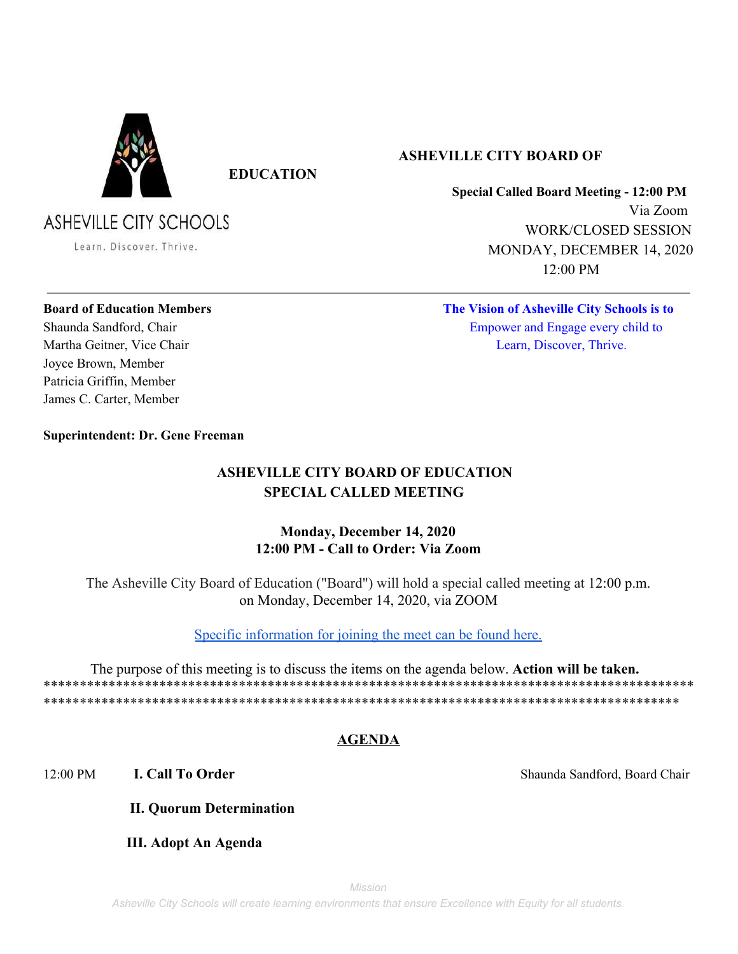

**EDUCATION**

# **ASHEVILLE CITY SCHOOLS**

Learn. Discover. Thrive.

## **ASHEVILLE CITY BOARD OF**

**Special Called Board Meeting - 12:00 PM** Via Zoom WORK/CLOSED SESSION MONDAY, DECEMBER 14, 2020 12:00 PM

Joyce Brown, Member Patricia Griffin, Member James C. Carter, Member

**Board of Education Members The Vision of Asheville City Schools is to** Shaunda Sandford, Chair Empower and Engage every child to Martha Geitner, Vice Chair **Learn, Learn, Discover, Thrive.** 

### **Superintendent: Dr. Gene Freeman**

## **ASHEVILLE CITY BOARD OF EDUCATION SPECIAL CALLED MEETING**

## **Monday, December 14, 2020 12:00 PM - Call to Order: Via Zoom**

The Asheville City Board of Education ("Board") will hold a special called meeting at 12:00 p.m. on Monday, December 14, 2020, via ZOOM

[Specific information for joining the meet can be found here.](https://docs.google.com/document/d/1Fcb7YuZPqzV6d9BMScM5tWJdxqkzOm7-89qBnLE01Cc/edit?usp=sharing)

 The purpose of this meeting is to discuss the items on the agenda below. **Action will be taken.** \*\*\*\*\*\*\*\*\*\*\*\*\*\*\*\*\*\*\*\*\*\*\*\*\*\*\*\*\*\*\*\*\*\*\*\*\*\*\*\*\*\*\*\*\*\*\*\*\*\*\*\*\*\*\*\*\*\*\*\*\*\*\*\*\*\*\*\*\*\*\*\*\*\*\*\*\*\*\*\*\*\*\*\*\*\*\*\*\*\* \*\*\*\*\*\*\*\*\*\*\*\*\*\*\*\*\*\*\*\*\*\*\*\*\*\*\*\*\*\*\*\*\*\*\*\*\*\*\*\*\*\*\*\*\*\*\*\*\*\*\*\*\*\*\*\*\*\*\*\*\*\*\*\*\*\*\*\*\*\*\*\*\*\*\*\*\*\*\*\*\*\*\*\*\*\*\*\*

## **AGENDA**

12:00 PM **I. Call To Order** Shaunda Sandford, Board Chair

- **II. Quorum Determination**
- **III. Adopt An Agenda**

*Mission*